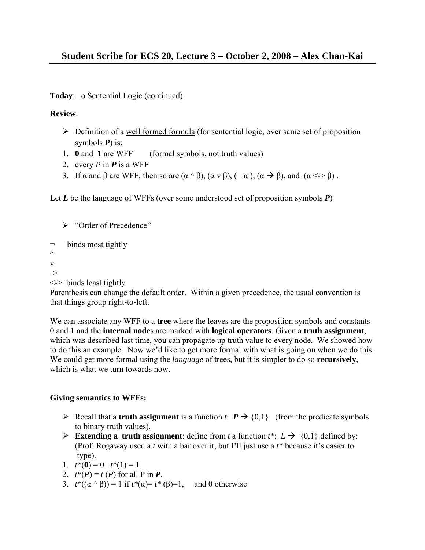**Today**: o Sentential Logic (continued)

# **Review**:

- $\triangleright$  Definition of a well formed formula (for sentential logic, over same set of proposition symbols *P*) is:
- 1. **0** and **1** are WFF (formal symbols, not truth values)
- 2. every *P* in *P* is a WFF
- 3. If  $\alpha$  and  $\beta$  are WFF, then so are  $(\alpha \wedge \beta)$ ,  $(\alpha \vee \beta)$ ,  $(\neg \alpha)$ ,  $(\alpha \rightarrow \beta)$ , and  $(\alpha \leq \beta)$ .

Let *L* be the language of WFFs (over some understood set of proposition symbols *P*)

```
¾ "Order of Precedence"
```

```
binds most tightly
\wedgev 
->
```

```
\le binds least tightly
```
Parenthesis can change the default order. Within a given precedence, the usual convention is that things group right-to-left.

We can associate any WFF to a **tree** where the leaves are the proposition symbols and constants 0 and 1 and the **internal node**s are marked with **logical operators**. Given a **truth assignment**, which was described last time, you can propagate up truth value to every node. We showed how to do this an example. Now we'd like to get more formal with what is going on when we do this. We could get more formal using the *language* of trees, but it is simpler to do so **recursively**, which is what we turn towards now.

# **Giving semantics to WFFs:**

- Example 12 Recall that a **truth assignment** is a function *t*:  $P \rightarrow \{0,1\}$  (from the predicate symbols to binary truth values).
- Extending a truth assignment: define from *t* a function  $t^*$ :  $L \rightarrow \{0,1\}$  defined by: (Prof. Rogaway used a *t* with a bar over it, but I'll just use a *t\** because it's easier to type).
- 1.  $t^*(0) = 0$   $t^*(1) = 1$
- 2.  $t^*(P) = t(P)$  for all P in **P**.
- 3. *t\**((α ^ β)) = 1 if *t\**(α)= *t\** (β)=1, and 0 otherwise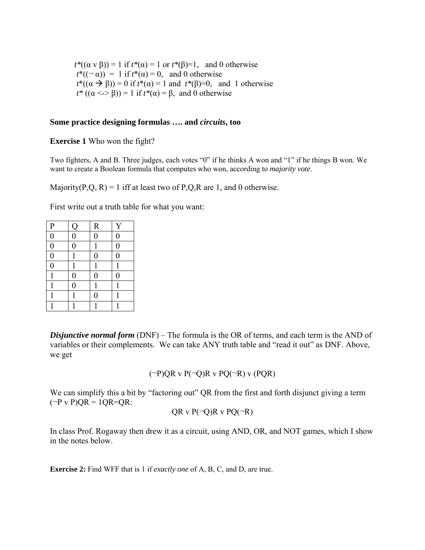$t^*( (\alpha \vee \beta) ) = 1$  if  $t^*(\alpha) = 1$  or  $t^*(\beta) = 1$ , and 0 otherwise  $t^*((\neg \alpha)) = 1$  if  $t^*(\alpha) = 0$ , and 0 otherwise  $t^*((\alpha \to \beta)) = 0$  if  $t^*(\alpha) = 1$  and  $t^*(\beta) = 0$ , and 1 otherwise  $t^*( (\alpha \leq S) ) = 1$  if  $t^*(\alpha) = \beta$ , and 0 otherwise

#### **Some practice designing formulas …. and** *circuits***, too**

**Exercise 1** Who won the fight?

Two fighters, A and B. Three judges, each votes "0" if he thinks A won and "1" if he things B won. We want to create a Boolean formula that computes who won, according to *majority vote*.

Majority(P,Q, R) = 1 iff at least two of P,Q,R are 1, and 0 otherwise.

First write out a truth table for what you want:

| $\mathbf{P}$   | Q                | ${\bf R}$        | Y                |
|----------------|------------------|------------------|------------------|
| $\overline{0}$ | $\boldsymbol{0}$ | $\overline{0}$   | $\boldsymbol{0}$ |
| $\overline{0}$ | $\overline{0}$   | 1                | $\boldsymbol{0}$ |
| $\overline{0}$ | 1                | $\overline{0}$   | $\boldsymbol{0}$ |
| $\overline{0}$ | 1                |                  | 1                |
| 1              | $\boldsymbol{0}$ | $\overline{0}$   | $\overline{0}$   |
|                | $\boldsymbol{0}$ |                  |                  |
|                |                  | $\boldsymbol{0}$ |                  |
|                |                  |                  |                  |

*Disjunctive normal form* (DNF) – The formula is the OR of terms, and each term is the AND of variables or their complements. We can take ANY truth table and "read it out" as DNF. Above, we get

$$
(\neg P)QR \vee P(\neg Q)R \vee PQ(\neg R) \vee (PQR)
$$

We can simplify this a bit by "factoring out" QR from the first and forth disjunct giving a term  $(\neg P \vee P)$ QR = 1QR=QR:

$$
QR \vee P(\neg Q)R \vee PQ(\neg R)
$$

In class Prof. Rogaway then drew it as a circuit, using AND, OR, and NOT games, which I show in the notes below.

**Exercise 2:** Find WFF that is 1 if *exactly one* of A, B, C, and D, are true.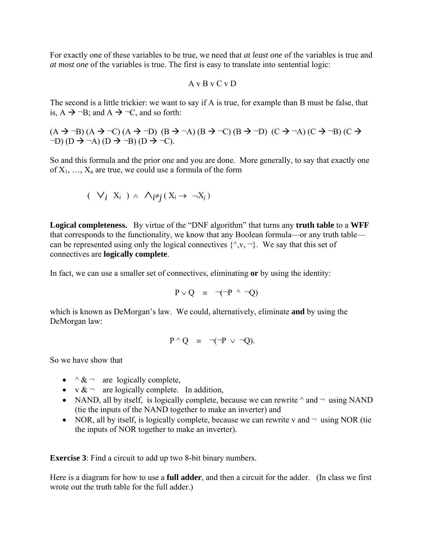For exactly one of these variables to be true, we need that *at least one* of the variables is true and *at most one* of the variables is true. The first is easy to translate into sentential logic:

$$
A\,v\,B\,v\,C\,v\,D
$$

The second is a little trickier: we want to say if A is true, for example than B must be false, that is,  $A \rightarrow \neg B$ ; and  $A \rightarrow \neg C$ , and so forth:

 $(A \rightarrow \neg B) (A \rightarrow \neg C) (A \rightarrow \neg D) (B \rightarrow \neg A) (B \rightarrow \neg C) (B \rightarrow \neg D) (C \rightarrow \neg A) (C \rightarrow \neg B) (C \rightarrow$  $\neg D$ ) (D  $\rightarrow \neg A$ ) (D  $\rightarrow \neg B$ ) (D  $\rightarrow \neg C$ ).

So and this formula and the prior one and you are done. More generally, to say that exactly one of  $X_1, \ldots, X_n$  are true, we could use a formula of the form

$$
(\forall_i X_i) \wedge \bigwedge_{i \neq j} (X_i \rightarrow \neg X_j)
$$

**Logical completeness.** By virtue of the "DNF algorithm" that turns any **truth table** to a **WFF** that corresponds to the functionality, we know that any Boolean formula—or any truth table can be represented using only the logical connectives  $\{\hat{v}, v, \hat{v}\}\$ . We say that this set of connectives are **logically complete**.

In fact, we can use a smaller set of connectives, eliminating **or** by using the identity:

$$
P \vee Q = \neg(\neg P \wedge \neg Q)
$$

which is known as DeMorgan's law. We could, alternatively, eliminate **and** by using the DeMorgan law:

$$
P \wedge Q \equiv \neg(\neg P \vee \neg Q).
$$

So we have show that

- $\land \& \neg$  are logically complete,
- $\sqrt{x}$   $\sim$  are logically complete. In addition,
- NAND, all by itself, is logically complete, because we can rewrite  $\land$  and  $\neg$  using NAND (tie the inputs of the NAND together to make an inverter) and
- NOR, all by itself, is logically complete, because we can rewrite v and  $\neg$  using NOR (tie the inputs of NOR together to make an inverter).

**Exercise 3**: Find a circuit to add up two 8-bit binary numbers.

Here is a diagram for how to use a **full adder**, and then a circuit for the adder. (In class we first wrote out the truth table for the full adder.)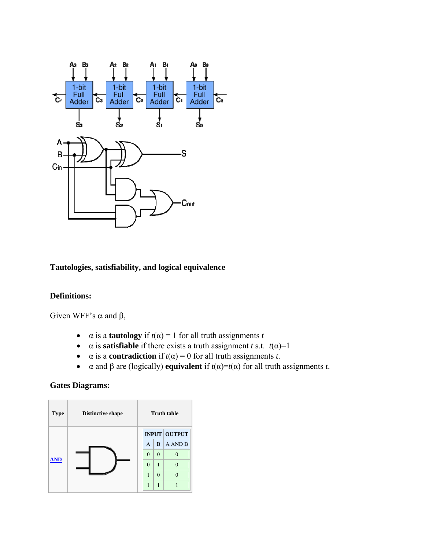

## **Tautologies, satisfiability, and logical equivalence**

### **Definitions:**

Given WFF's  $\alpha$  and  $\beta$ ,

- $\alpha$  is a **tautology** if  $t(\alpha) = 1$  for all truth assignments *t*
- $\alpha$  is **satisfiable** if there exists a truth assignment *t* s.t.  $t(\alpha)=1$
- $\alpha$  is a **contradiction** if  $t(\alpha) = 0$  for all truth assignments *t*.
- α and β are (logically) **equivalent** if  $t(α) = t(α)$  for all truth assignments *t*.

### **Gates Diagrams:**